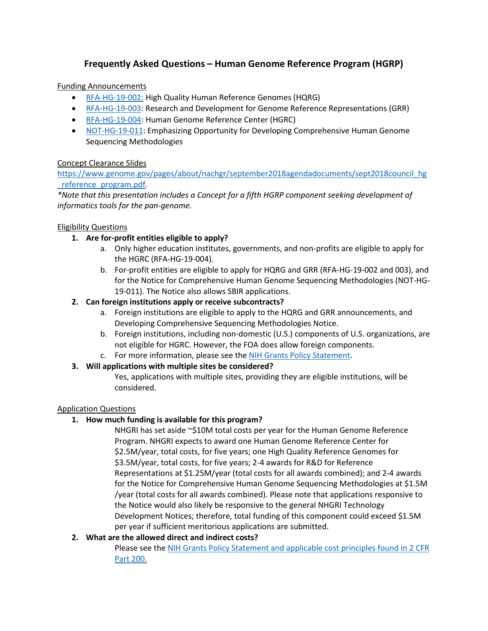# **Frequently Asked Questions – Human Genome Reference Program (HGRP)**

### Funding Announcements

- [RFA-HG-19-002:](https://grants.nih.gov/grants/guide/rfa-files/rfa-hg-19-002.html) High Quality Human Reference Genomes (HQRG)
- [RFA-HG-19-003:](https://grants.nih.gov/grants/guide/rfa-files/rfa-hg-19-003.html) Research and Development for Genome Reference Representations (GRR)
- [RFA-HG-19-004:](https://grants.nih.gov/grants/guide/rfa-files/rfa-hg-19-004.html) Human Genome Reference Center (HGRC)
- [NOT-HG-19-011:](https://grants.nih.gov/grants/guide/notice-files/NOT-HG-19-011.html) Emphasizing Opportunity for Developing Comprehensive Human Genome Sequencing Methodologies

### Concept Clearance Slides

[https://www.genome.gov/pages/about/nachgr/september2018agendadocuments/sept2018council\\_hg](https://www.genome.gov/pages/about/nachgr/september2018agendadocuments/sept2018council_hg_reference_program.pdf) [\\_reference\\_program.pdf.](https://www.genome.gov/pages/about/nachgr/september2018agendadocuments/sept2018council_hg_reference_program.pdf)

*\*Note that this presentation includes a Concept for a fifth HGRP component seeking development of informatics tools for the pan-genome.* 

### Eligibility Questions

# **1. Are for-profit entities eligible to apply?**

- a. Only higher education institutes, governments, and non-profits are eligible to apply for the HGRC (RFA-HG-19-004).
- b. For-profit entities are eligible to apply for HQRG and GRR (RFA-HG-19-002 and 003), and for the Notice for Comprehensive Human Genome Sequencing Methodologies (NOT-HG-19-011). The Notice also allows SBIR applications.

### **2. Can foreign institutions apply or receive subcontracts?**

- a. Foreign institutions are eligible to apply to the HQRG and GRR announcements, and Developing Comprehensive Sequencing Methodologies Notice.
- b. Foreign institutions, including non-domestic (U.S.) components of U.S. organizations, are not eligible for HGRC. However, the FOA does allow foreign components.
- c. For more information, please see the [NIH Grants Policy Statement.](https://grants.nih.gov/grants/guide/url_redirect.htm?id=11118)

# **3. Will applications with multiple sites be considered?**

Yes, applications with multiple sites, providing they are eligible institutions, will be considered.

#### Application Questions

# **1. How much funding is available for this program?**

NHGRI has set aside ~\$10M total costs per year for the Human Genome Reference Program. NHGRI expects to award one Human Genome Reference Center for \$2.5M/year, total costs, for five years; one High Quality Reference Genomes for \$3.5M/year, total costs, for five years; 2-4 awards for R&D for Reference Representations at \$1.25M/year (total costs for all awards combined); and 2-4 awards for the Notice for Comprehensive Human Genome Sequencing Methodologies at \$1.5M /year (total costs for all awards combined). Please note that applications responsive to the Notice would also likely be responsive to the general NHGRI Technology Development Notices; therefore, total funding of this component could exceed \$1.5M per year if sufficient meritorious applications are submitted.

# **2. What are the allowed direct and indirect costs?**

Please see the [NIH Grants Policy Statement](https://grants.nih.gov/grants/guide/url_redirect.htm?id=11120) and applicable cost principles found i[n 2 CFR](https://www.ecfr.gov/cgi-bin/text-idx?SID=704835d27377ef5213a51c149de40cab&node=2:1.1.2.2.1&rgn=div5#sp2.1.200.a)  [Part 200.](https://www.ecfr.gov/cgi-bin/text-idx?SID=704835d27377ef5213a51c149de40cab&node=2:1.1.2.2.1&rgn=div5#sp2.1.200.a)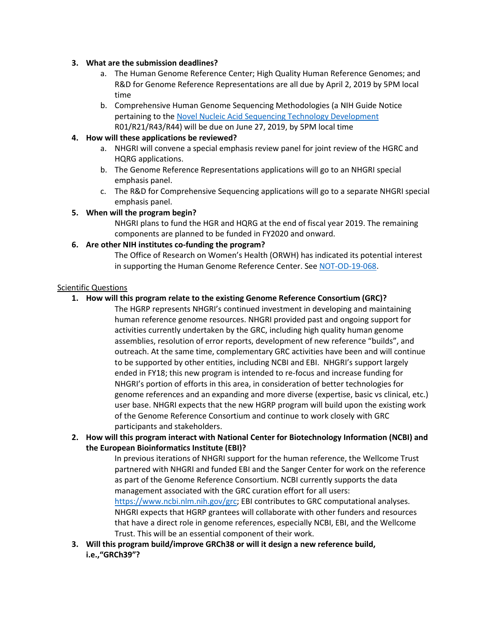#### **3. What are the submission deadlines?**

- a. The Human Genome Reference Center; High Quality Human Reference Genomes; and R&D for Genome Reference Representations are all due by April 2, 2019 by 5PM local time
- b. Comprehensive Human Genome Sequencing Methodologies (a NIH Guide Notice pertaining to th[e Novel Nucleic Acid Sequencing Technology Development](https://grants.nih.gov/grants/guide/rfa-files/rfa-hg-18-001.html) R01/R21/R43/R44) will be due on June 27, 2019, by 5PM local time

#### **4. How will these applications be reviewed?**

- a. NHGRI will convene a special emphasis review panel for joint review of the HGRC and HQRG applications.
- b. The Genome Reference Representations applications will go to an NHGRI special emphasis panel.
- c. The R&D for Comprehensive Sequencing applications will go to a separate NHGRI special emphasis panel.

### **5. When will the program begin?**

NHGRI plans to fund the HGR and HQRG at the end of fiscal year 2019. The remaining components are planned to be funded in FY2020 and onward.

#### **6. Are other NIH institutes co-funding the program?**

The Office of Research on Women's Health (ORWH) has indicated its potential interest in supporting the Human Genome Reference Center. Se[e NOT-OD-19-068.](https://grants.nih.gov/grants/guide/notice-files/NOT-OD-19-068.html)

#### Scientific Questions

# **1. How will this program relate to the existing Genome Reference Consortium (GRC)?**

The HGRP represents NHGRI's continued investment in developing and maintaining human reference genome resources. NHGRI provided past and ongoing support for activities currently undertaken by the GRC, including high quality human genome assemblies, resolution of error reports, development of new reference "builds", and outreach. At the same time, complementary GRC activities have been and will continue to be supported by other entities, including NCBI and EBI. NHGRI's support largely ended in FY18; this new program is intended to re-focus and increase funding for NHGRI's portion of efforts in this area, in consideration of better technologies for genome references and an expanding and more diverse (expertise, basic vs clinical, etc.) user base. NHGRI expects that the new HGRP program will build upon the existing work of the Genome Reference Consortium and continue to work closely with GRC participants and stakeholders.

# **2. How will this program interact with National Center for Biotechnology Information (NCBI) and the European Bioinformatics Institute (EBI)?**

In previous iterations of NHGRI support for the human reference, the Wellcome Trust partnered with NHGRI and funded EBI and the Sanger Center for work on the reference as part of the Genome Reference Consortium. NCBI currently supports the data management associated with the GRC curation effort for all users: [https://www.ncbi.nlm.nih.gov/grc;](https://www.ncbi.nlm.nih.gov/grc) EBI contributes to GRC computational analyses. NHGRI expects that HGRP grantees will collaborate with other funders and resources that have a direct role in genome references, especially NCBI, EBI, and the Wellcome Trust. This will be an essential component of their work.

**3. Will this program build/improve GRCh38 or will it design a new reference build, i.e.,"GRCh39"?**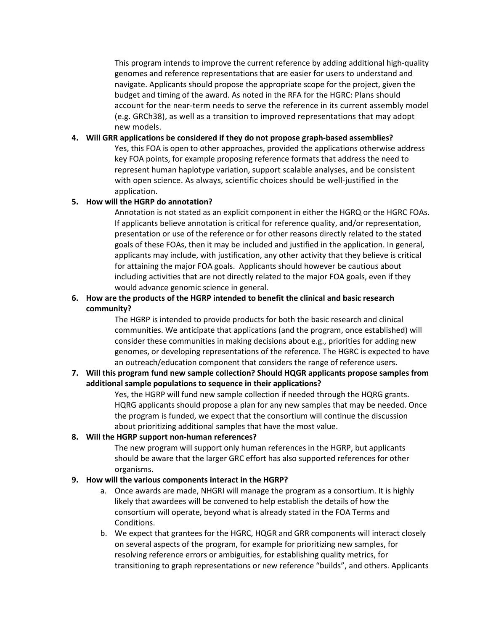This program intends to improve the current reference by adding additional high-quality genomes and reference representations that are easier for users to understand and navigate. Applicants should propose the appropriate scope for the project, given the budget and timing of the award. As noted in the RFA for the HGRC: Plans should account for the near-term needs to serve the reference in its current assembly model (e.g. GRCh38), as well as a transition to improved representations that may adopt new models.

### **4. Will GRR applications be considered if they do not propose graph-based assemblies?**

Yes, this FOA is open to other approaches, provided the applications otherwise address key FOA points, for example proposing reference formats that address the need to represent human haplotype variation, support scalable analyses, and be consistent with open science. As always, scientific choices should be well-justified in the application.

### **5. How will the HGRP do annotation?**

Annotation is not stated as an explicit component in either the HGRQ or the HGRC FOAs. If applicants believe annotation is critical for reference quality, and/or representation, presentation or use of the reference or for other reasons directly related to the stated goals of these FOAs, then it may be included and justified in the application. In general, applicants may include, with justification, any other activity that they believe is critical for attaining the major FOA goals. Applicants should however be cautious about including activities that are not directly related to the major FOA goals, even if they would advance genomic science in general.

# **6. How are the products of the HGRP intended to benefit the clinical and basic research community?**

The HGRP is intended to provide products for both the basic research and clinical communities. We anticipate that applications (and the program, once established) will consider these communities in making decisions about e.g., priorities for adding new genomes, or developing representations of the reference. The HGRC is expected to have an outreach/education component that considers the range of reference users.

### **7. Will this program fund new sample collection? Should HQGR applicants propose samples from additional sample populations to sequence in their applications?**

Yes, the HGRP will fund new sample collection if needed through the HQRG grants. HQRG applicants should propose a plan for any new samples that may be needed. Once the program is funded, we expect that the consortium will continue the discussion about prioritizing additional samples that have the most value.

#### **8. Will the HGRP support non-human references?**

The new program will support only human references in the HGRP, but applicants should be aware that the larger GRC effort has also supported references for other organisms.

# **9. How will the various components interact in the HGRP?**

- a. Once awards are made, NHGRI will manage the program as a consortium. It is highly likely that awardees will be convened to help establish the details of how the consortium will operate, beyond what is already stated in the FOA Terms and Conditions.
- b. We expect that grantees for the HGRC, HQGR and GRR components will interact closely on several aspects of the program, for example for prioritizing new samples, for resolving reference errors or ambiguities, for establishing quality metrics, for transitioning to graph representations or new reference "builds", and others. Applicants